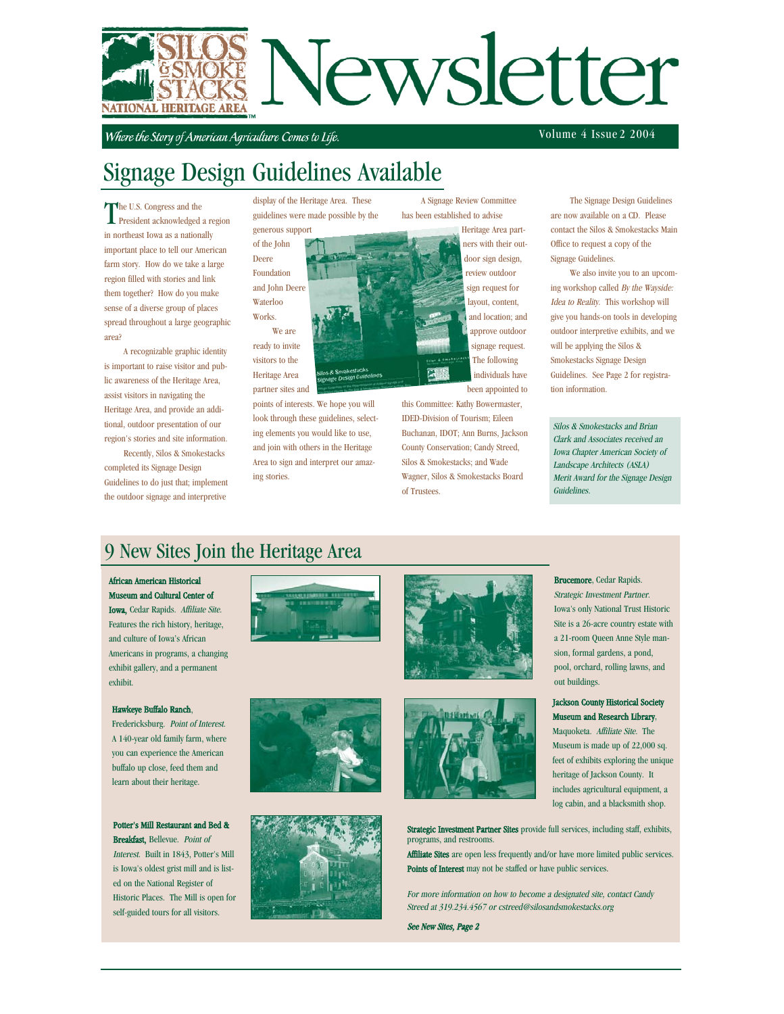

Where the Story of American Agriculture Comes to Life.

Volume 4 Issue 2 2004

# Signage Design Guidelines Available

The U.S. Congress and the<br>President acknowledged a region he U.S. Congress and the in northeast Iowa as a nationally important place to tell our American farm story. How do we take a large region filled with stories and link them together? How do you make sense of a diverse group of places spread throughout a large geographic area?

A recognizable graphic identity is important to raise visitor and public awareness of the Heritage Area, assist visitors in navigating the Heritage Area, and provide an additional, outdoor presentation of our region's stories and site information.

Recently, Silos & Smokestacks completed its Signage Design Guidelines to do just that; implement the outdoor signage and interpretive

display of the Heritage Area. These guidelines were made possible by the generous support

of the John Deere Foundation and John Deere Waterloo Works.

We are ready to invite visitors to the Heritage Area partner sites and

points of interests. We hope you will look through these guidelines, selecting elements you would like to use, and join with others in the Heritage Area to sign and interpret our amazing stories.

has been established to advise Heritage Area partners with their outdoor sign design,

A Signage Review Committee

review outdoor sign request for layout, content, and location; and approve outdoor signage request. The following individuals have been appointed to

this Committee: Kathy Bowermaster, IDED-Division of Tourism; Eileen Buchanan, IDOT; Ann Burns, Jackson County Conservation; Candy Streed, Silos & Smokestacks; and Wade Wagner, Silos & Smokestacks Board of Trustees.

The Signage Design Guidelines are now available on a CD. Please contact the Silos & Smokestacks Main Office to request a copy of the

ing workshop called By the Wayside: give you hands-on tools in developing outdoor interpretive exhibits, and we

Silos & Smokestacks and Brian Clark and Associates received an Iowa Chapter American Society of Landscape Architects (ASLA) Merit Award for the Signage Design Guidelines.

## 9 New Sites Join the Heritage Area

#### African American Historical

Museum and Cultural Center of Iowa, Cedar Rapids. Affiliate Site. Features the rich history, heritage, and culture of Iowa's African Americans in programs, a changing exhibit gallery, and a permanent exhibit.

#### Hawkeye Buffalo Ranch,

Fredericksburg. Point of Interest. A 140-year old family farm, where you can experience the American buffalo up close, feed them and learn about their heritage.

#### Potter's Mill Restaurant and Bed &

Breakfast, Bellevue. Point of Interest. Built in 1843, Potter's Mill is Iowa's oldest grist mill and is listed on the National Register of Historic Places. The Mill is open for self-guided tours for all visitors.











Brucemore, Cedar Rapids. Strategic Investment Partner. Iowa's only National Trust Historic Site is a 26-acre country estate with a 21-room Queen Anne Style mansion, formal gardens, a pond, pool, orchard, rolling lawns, and out buildings.

#### Jackson County Historical Society Museum and Research Library,

Maquoketa. Affiliate Site. The Museum is made up of 22,000 sq. feet of exhibits exploring the unique heritage of Jackson County. It includes agricultural equipment, a log cabin, and a blacksmith shop.

Strategic Investment Partner Sites provide full services, including staff, exhibits, programs, and restrooms.

Affiliate Sites are open less frequently and/or have more limited public services. Points of Interest may not be staffed or have public services.

For more information on how to become a designated site, contact Candy Streed at 319.234.4567 or cstreed@silosandsmokestacks.org

See New Sites, Page 2

Signage Guidelines. We also invite you to an upcom-

Idea to Reality. This workshop will will be applying the Silos & Smokestacks Signage Design Guidelines. See Page 2 for registration information.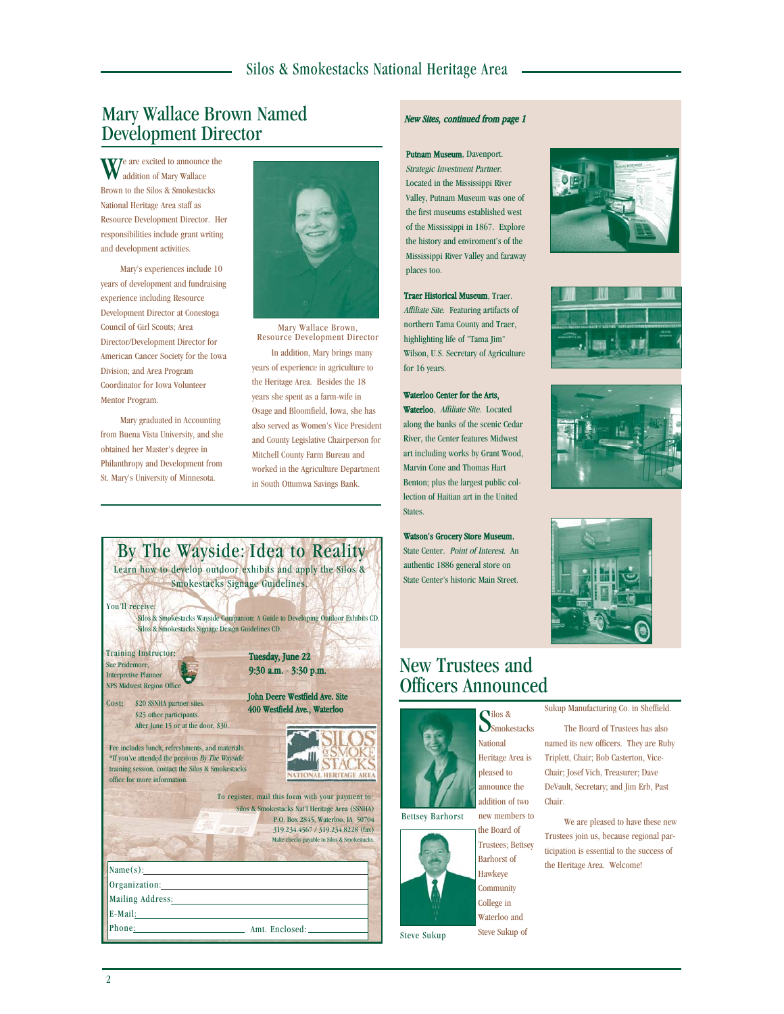## Mary Wallace Brown Named Development Director

We are excited to announce the addition of Mary Wallace Brown to the Silos & Smokestacks National Heritage Area staff as Resource Development Director. Her responsibilities include grant writing and development activities.

Mary's experiences include 10 years of development and fundraising experience including Resource Development Director at Conestoga Council of Girl Scouts; Area Director/Development Director for American Cancer Society for the Iowa Division; and Area Program Coordinator for Iowa Volunteer Mentor Program.

Mary graduated in Accounting from Buena Vista University, and she obtained her Master's degree in Philanthropy and Development from St. Mary's University of Minnesota.



In addition, Mary brings many years of experience in agriculture to the Heritage Area. Besides the 18 years she spent as a farm-wife in Osage and Bloomfield, Iowa, she has also served as Women's Vice President and County Legislative Chairperson for Mitchell County Farm Bureau and worked in the Agriculture Department in South Ottumwa Savings Bank. Mary Wallace Brown, Resource Development Director



Phone: Amt. Enclosed:

## New Sites, continued from page 1

Putnam Museum, Davenport. Strategic Investment Partner. Located in the Mississippi River Valley, Putnam Museum was one of the first museums established west of the Mississippi in 1867. Explore the history and enviroment's of the Mississippi River Valley and faraway places too.

Traer Historical Museum, Traer. Affiliate Site. Featuring artifacts of northern Tama County and Traer, highlighting life of "Tama Jim" Wilson, U.S. Secretary of Agriculture for 16 years.

#### Waterloo Center for the Arts, Waterloo, Affiliate Site. Located along the banks of the scenic Cedar River, the Center features Midwest art including works by Grant Wood, Marvin Cone and Thomas Hart Benton; plus the largest public collection of Haitian art in the United States.

Watson's Grocery Store Museum, State Center. Point of Interest. An authentic 1886 general store on State Center's historic Main Street.

## New Trustees and Officers Announced



new members to the Board of Bettsey Barhorst

> Trustees; Bettsey Barhorst of Hawkeye **Community** College in Waterloo and Steve Sukup of



Steve Sukup









Sukup Manufacturing Co. in Sheffield. The Board of Trustees has also

named its new officers. They are Ruby Triplett, Chair; Bob Casterton, Vice-Chair; Josef Vich, Treasurer; Dave DeVault, Secretary; and Jim Erb, Past Chair.

We are pleased to have these new Trustees join us, because regional participation is essential to the success of the Heritage Area. Welcome!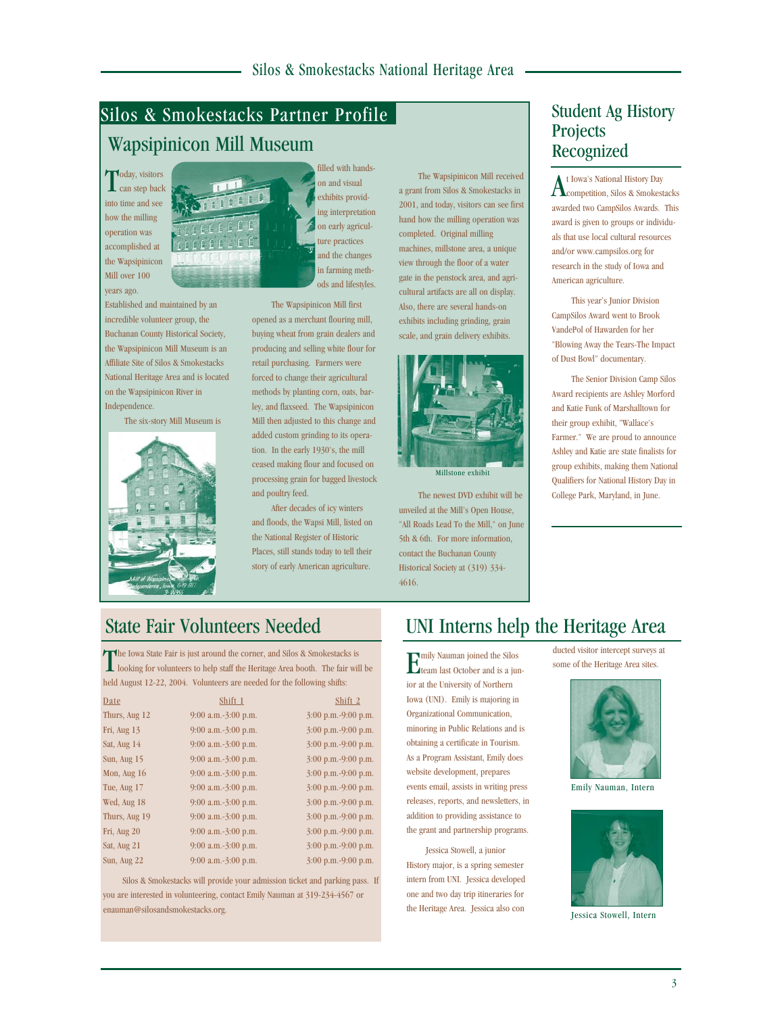# Silos & Smokestacks Partner Profile

## Wapsipinicon Mill Museum

Today, visitors<br>Can step back into time and see how the milling operation was accomplished at the Wapsipinicon Mill over 100 years ago.

Established and maintained by an incredible volunteer group, the Buchanan County Historical Society, the Wapsipinicon Mill Museum is an Affiliate Site of Silos & Smokestacks National Heritage Area and is located on the Wapsipinicon River in Independence.

The six-story Mill Museum is



filled with handson and visual exhibits providing interpretation on early agriculture practices and the changes in farming methods and lifestyles.

The Wapsipinicon Mill first opened as a merchant flouring mill, buying wheat from grain dealers and producing and selling white flour for retail purchasing. Farmers were forced to change their agricultural methods by planting corn, oats, barley, and flaxseed. The Wapsipinicon Mill then adjusted to this change and added custom grinding to its operation. In the early 1930's, the mill ceased making flour and focused on processing grain for bagged livestock and poultry feed.

After decades of icy winters and floods, the Wapsi Mill, listed on the National Register of Historic Places, still stands today to tell their story of early American agriculture.

The Wapsipinicon Mill received a grant from Silos & Smokestacks in 2001, and today, visitors can see first hand how the milling operation was completed. Original milling machines, millstone area, a unique view through the floor of a water gate in the penstock area, and agricultural artifacts are all on display. Also, there are several hands-on exhibits including grinding, grain scale, and grain delivery exhibits.



Millstone exhibit

The newest DVD exhibit will be unveiled at the Mill's Open House, "All Roads Lead To the Mill," on June 5th & 6th. For more information, contact the Buchanan County Historical Society at (319) 334- 4616.

#### Student Ag History **Projects** Recognized

At Iowa's National History Day competition, Silos & Smokestacks awarded two CampSilos Awards. This award is given to groups or individuals that use local cultural resources and/or www.campsilos.org for research in the study of Iowa and American agriculture.

This year's Junior Division CampSilos Award went to Brook VandePol of Hawarden for her "Blowing Away the Tears-The Impact of Dust Bowl" documentary.

The Senior Division Camp Silos Award recipients are Ashley Morford and Katie Funk of Marshalltown for their group exhibit, "Wallace's Farmer." We are proud to announce Ashley and Katie are state finalists for group exhibits, making them National Qualifiers for National History Day in College Park, Maryland, in June.

The Iowa State Fair is just around the corner, and Silos & Smokestacks is<br>
looking for volunteers to help staff the Heritage Area booth. The fair will be held August 12-22, 2004. Volunteers are needed for the following shifts:

| Date          | Shift 1               | Shift 2               |
|---------------|-----------------------|-----------------------|
| Thurs, Aug 12 | $9:00$ a.m.-3:00 p.m. | $3:00$ p.m.-9:00 p.m. |
| Fri, Aug $13$ | $9:00$ a.m.-3:00 p.m. | $3:00$ p.m.-9:00 p.m. |
| Sat, Aug 14   | $9:00$ a.m.-3:00 p.m. | $3:00$ p.m.-9:00 p.m. |
| Sun, Aug $15$ | $9:00$ a.m.-3:00 p.m. | $3:00$ p.m.-9:00 p.m. |
| Mon, Aug $16$ | $9:00$ a.m.-3:00 p.m. | 3:00 p.m.-9:00 p.m.   |
| Tue, Aug 17   | $9:00$ a.m.-3:00 p.m. | $3:00$ p.m.-9:00 p.m. |
| Wed, Aug 18   | $9:00$ a.m.-3:00 p.m. | $3:00$ p.m.-9:00 p.m. |
| Thurs, Aug 19 | $9:00$ a.m.-3:00 p.m. | $3:00$ p.m.-9:00 p.m. |
| Fri, Aug 20   | $9:00$ a.m.-3:00 p.m. | $3:00$ p.m.-9:00 p.m. |
| Sat, Aug 21   | $9:00$ a.m.-3:00 p.m. | $3:00$ p.m.-9:00 p.m. |
| Sun, Aug 22   | $9:00$ a.m.-3:00 p.m. | 3:00 p.m.-9:00 p.m.   |

Silos & Smokestacks will provide your admission ticket and parking pass. If you are interested in volunteering, contact Emily Nauman at 319-234-4567 or enauman@silosandsmokestacks.org.

## State Fair Volunteers Needed UNI Interns help the Heritage Area

**EX** mily Nauman joined the Silos<br>**Example 1** ast October and is a jun team last October and is a junior at the University of Northern Iowa (UNI). Emily is majoring in Organizational Communication, minoring in Public Relations and is obtaining a certificate in Tourism. As a Program Assistant, Emily does website development, prepares events email, assists in writing press releases, reports, and newsletters, in addition to providing assistance to the grant and partnership programs.

Jessica Stowell, a junior History major, is a spring semester intern from UNI. Jessica developed one and two day trip itineraries for the Heritage Area. Jessica also con

ducted visitor intercept surveys at some of the Heritage Area sites.



Emily Nauman, Intern



Jessica Stowell, Intern